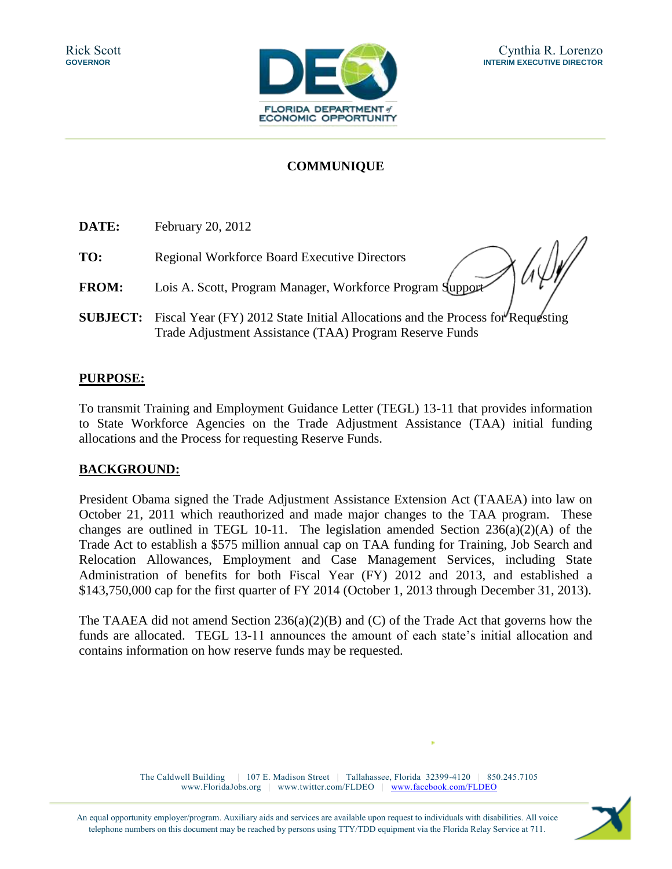

# **COMMUNIQUE**

| DATE:           | February 20, 2012                                                                                                                         |
|-----------------|-------------------------------------------------------------------------------------------------------------------------------------------|
| TO:             | <b>Regional Workforce Board Executive Directors</b>                                                                                       |
| <b>FROM:</b>    | Lois A. Scott, Program Manager, Workforce Program Support                                                                                 |
| <b>SUBJECT:</b> | Fiscal Year (FY) 2012 State Initial Allocations and the Process for Requesting<br>Trade Adjustment Assistance (TAA) Program Reserve Funds |

### **PURPOSE:**

To transmit Training and Employment Guidance Letter (TEGL) 13-11 that provides information to State Workforce Agencies on the Trade Adjustment Assistance (TAA) initial funding allocations and the Process for requesting Reserve Funds.

### **BACKGROUND:**

President Obama signed the Trade Adjustment Assistance Extension Act (TAAEA) into law on October 21, 2011 which reauthorized and made major changes to the TAA program. These changes are outlined in TEGL 10-11. The legislation amended Section  $236(a)(2)(A)$  of the Trade Act to establish a \$575 million annual cap on TAA funding for Training, Job Search and Relocation Allowances, Employment and Case Management Services, including State Administration of benefits for both Fiscal Year (FY) 2012 and 2013, and established a \$143,750,000 cap for the first quarter of FY 2014 (October 1, 2013 through December 31, 2013).

The TAAEA did not amend Section  $236(a)(2)(B)$  and (C) of the Trade Act that governs how the funds are allocated. TEGL 13-11 announces the amount of each state's initial allocation and contains information on how reserve funds may be requested.

> The Caldwell Building | 107 E. Madison Street | Tallahassee, Florida 32399-4120 | 850.245.7105 www.FloridaJobs.org | www.twitter.com/FLDEO | [www.facebook.com/FLDEO](http://www.facebook.com/FLDEO)

An equal opportunity employer/program. Auxiliary aids and services are available upon request to individuals with disabilities. All voice telephone numbers on this document may be reached by persons using TTY/TDD equipment via the Florida Relay Service at 711.